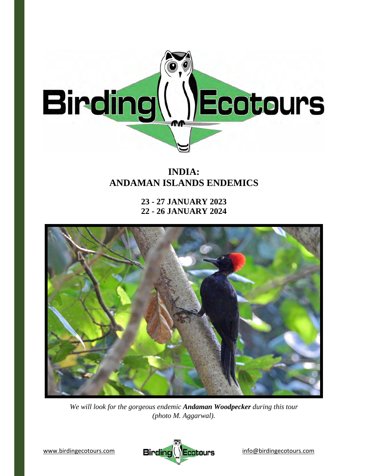

# **INDIA: ANDAMAN ISLANDS ENDEMICS**

**23 - 27 JANUARY 2023 22 - 26 JANUARY 2024** 



*We will look for the gorgeous endemic Andaman Woodpecker during this tour (photo M. Aggarwal).* 

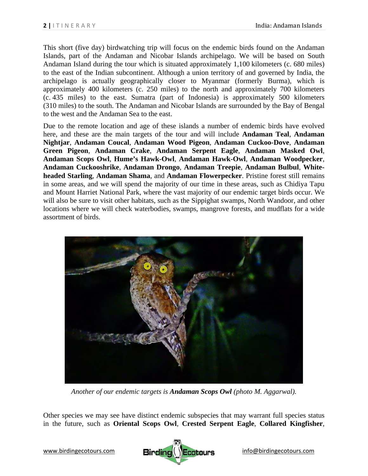This short (five day) birdwatching trip will focus on the endemic birds found on the Andaman Islands, part of the Andaman and Nicobar Islands archipelago. We will be based on South Andaman Island during the tour which is situated approximately 1,100 kilometers (c. 680 miles) to the east of the Indian subcontinent. Although a union territory of and governed by India, the archipelago is actually geographically closer to Myanmar (formerly Burma), which is approximately 400 kilometers (c. 250 miles) to the north and approximately 700 kilometers (c. 435 miles) to the east. Sumatra (part of Indonesia) is approximately 500 kilometers (310 miles) to the south. The Andaman and Nicobar Islands are surrounded by the Bay of Bengal to the west and the Andaman Sea to the east.

Due to the remote location and age of these islands a number of endemic birds have evolved here, and these are the main targets of the tour and will include **Andaman Teal**, **Andaman Nightjar**, **Andaman Coucal**, **Andaman Wood Pigeon**, **Andaman Cuckoo-Dove**, **Andaman Green Pigeon**, **Andaman Crake**, **Andaman Serpent Eagle**, **Andaman Masked Owl**, **Andaman Scops Owl**, **Hume's Hawk-Owl**, **Andaman Hawk-Owl**, **Andaman Woodpecker**, **Andaman Cuckooshrike**, **Andaman Drongo**, **Andaman Treepie**, **Andaman Bulbul**, **Whiteheaded Starling**, **Andaman Shama**, and **Andaman Flowerpecker**. Pristine forest still remains in some areas, and we will spend the majority of our time in these areas, such as Chidiya Tapu and Mount Harriet National Park, where the vast majority of our endemic target birds occur. We will also be sure to visit other habitats, such as the Sippighat swamps, North Wandoor, and other locations where we will check waterbodies, swamps, mangrove forests, and mudflats for a wide assortment of birds.



*Another of our endemic targets is Andaman Scops Owl (photo M. Aggarwal).* 

Other species we may see have distinct endemic subspecies that may warrant full species status in the future, such as **Oriental Scops Owl**, **Crested Serpent Eagle**, **Collared Kingfisher**,

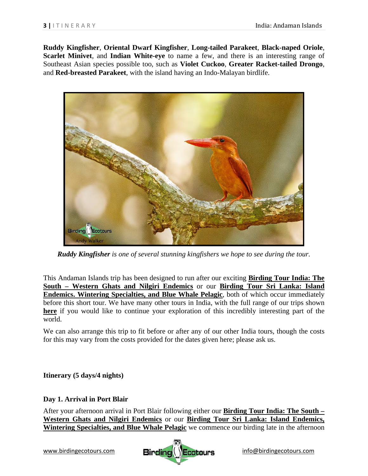**Ruddy Kingfisher**, **Oriental Dwarf Kingfisher**, **Long-tailed Parakeet**, **Black-naped Oriole**, **Scarlet Minivet**, and **Indian White-eye** to name a few, and there is an interesting range of Southeast Asian species possible too, such as **Violet Cuckoo**, **Greater Racket-tailed Drongo**, and **Red-breasted Parakeet**, with the island having an Indo-Malayan birdlife.



*Ruddy Kingfisher is one of several stunning kingfishers we hope to see during the tour.* 

This Andaman Islands trip has been designed to run after our exciting **Birding Tour India: The South – Western Ghats and Nilgiri Endemics** or our **Birding Tour Sri Lanka: Island Endemics. Wintering Specialties, and Blue Whale Pelagic**, both of which occur immediately before this short tour. We have many other tours in India, with the full range of our trips shown **here** if you would like to continue your exploration of this incredibly interesting part of the world.

We can also arrange this trip to fit before or after any of our other India tours, though the costs for this may vary from the costs provided for the dates given here; please ask us.

**Itinerary (5 days/4 nights)** 

## **Day 1. Arrival in Port Blair**

After your afternoon arrival in Port Blair following either our **Birding Tour India: The South – Western Ghats and Nilgiri Endemics** or our **Birding Tour Sri Lanka: Island Endemics, Wintering Specialties, and Blue Whale Pelagic** we commence our birding late in the afternoon

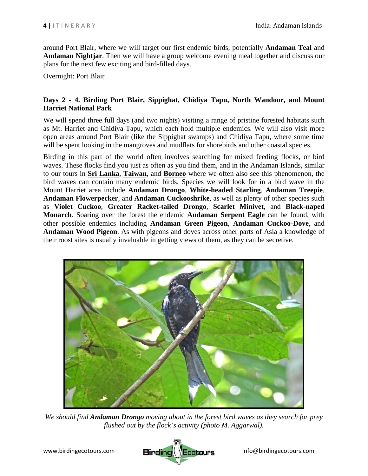around Port Blair, where we will target our first endemic birds, potentially **Andaman Teal** and **Andaman Nightjar**. Then we will have a group welcome evening meal together and discuss our plans for the next few exciting and bird-filled days.

Overnight: Port Blair

## **Days 2 - 4. Birding Port Blair, Sippighat, Chidiya Tapu, North Wandoor, and Mount Harriet National Park**

We will spend three full days (and two nights) visiting a range of pristine forested habitats such as Mt. Harriet and Chidiya Tapu, which each hold multiple endemics. We will also visit more open areas around Port Blair (like the Sippighat swamps) and Chidiya Tapu, where some time will be spent looking in the mangroves and mudflats for shorebirds and other coastal species.

Birding in this part of the world often involves searching for mixed feeding flocks, or bird waves. These flocks find you just as often as you find them, and in the Andaman Islands, similar to our tours in **Sri Lanka**, **Taiwan**, and **Borneo** where we often also see this phenomenon, the bird waves can contain many endemic birds. Species we will look for in a bird wave in the Mount Harriet area include **Andaman Drongo**, **White-headed Starling**, **Andaman Treepie**, **Andaman Flowerpecker**, and **Andaman Cuckooshrike**, as well as plenty of other species such as **Violet Cuckoo**, **Greater Racket-tailed Drongo**, **Scarlet Minivet**, and **Black-naped Monarch**. Soaring over the forest the endemic **Andaman Serpent Eagle** can be found, with other possible endemics including **Andaman Green Pigeon**, **Andaman Cuckoo-Dove**, and **Andaman Wood Pigeon**. As with pigeons and doves across other parts of Asia a knowledge of their roost sites is usually invaluable in getting views of them, as they can be secretive.



*We should find Andaman Drongo moving about in the forest bird waves as they search for prey flushed out by the flock's activity (photo M. Aggarwal).*

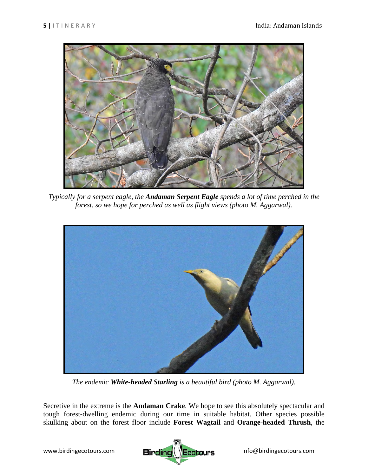

*Typically for a serpent eagle, the Andaman Serpent Eagle spends a lot of time perched in the forest, so we hope for perched as well as flight views (photo M. Aggarwal).* 



*The endemic White-headed Starling is a beautiful bird (photo M. Aggarwal).* 

Secretive in the extreme is the **Andaman Crake**. We hope to see this absolutely spectacular and tough forest-dwelling endemic during our time in suitable habitat. Other species possible skulking about on the forest floor include **Forest Wagtail** and **Orange-headed Thrush**, the

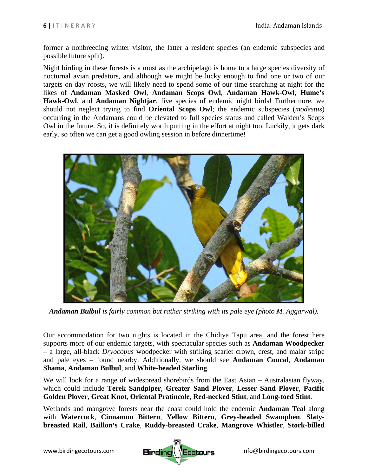former a nonbreeding winter visitor, the latter a resident species (an endemic subspecies and possible future split).

Night birding in these forests is a must as the archipelago is home to a large species diversity of nocturnal avian predators, and although we might be lucky enough to find one or two of our targets on day roosts, we will likely need to spend some of our time searching at night for the likes of **Andaman Masked Owl**, **Andaman Scops Owl**, **Andaman Hawk-Owl**, **Hume's Hawk-Owl**, and **Andaman Nightjar**, five species of endemic night birds! Furthermore, we should not neglect trying to find **Oriental Scops Owl**; the endemic subspecies (*modestus*) occurring in the Andamans could be elevated to full species status and called Walden's Scops Owl in the future. So, it is definitely worth putting in the effort at night too. Luckily, it gets dark early. so often we can get a good owling session in before dinnertime!



*Andaman Bulbul is fairly common but rather striking with its pale eye (photo M. Aggarwal).* 

Our accommodation for two nights is located in the Chidiya Tapu area, and the forest here supports more of our endemic targets, with spectacular species such as **Andaman Woodpecker** – a large, all-black *Dryocopus* woodpecker with striking scarlet crown, crest, and malar stripe and pale eyes – found nearby. Additionally, we should see **Andaman Coucal**, **Andaman Shama**, **Andaman Bulbul**, and **White-headed Starling**.

We will look for a range of widespread shorebirds from the East Asian – Australasian flyway, which could include **Terek Sandpiper**, **Greater Sand Plover**, **Lesser Sand Plover**, **Pacific Golden Plover**, **Great Knot**, **Oriental Pratincole**, **Red-necked Stint**, and **Long-toed Stint**.

Wetlands and mangrove forests near the coast could hold the endemic **Andaman Teal** along with **Watercock**, **Cinnamon Bittern**, **Yellow Bittern**, **Grey-headed Swamphen**, **Slatybreasted Rail**, **Baillon's Crake**, **Ruddy-breasted Crake**, **Mangrove Whistler**, **Stork-billed** 

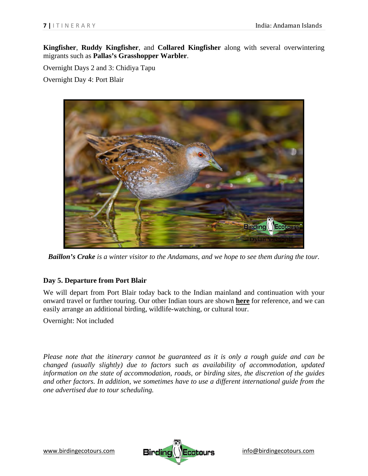**Kingfisher**, **Ruddy Kingfisher**, and **Collared Kingfisher** along with several overwintering migrants such as **Pallas's Grasshopper Warbler**.

Overnight Days 2 and 3: Chidiya Tapu

Overnight Day 4: Port Blair



*Baillon's Crake is a winter visitor to the Andamans, and we hope to see them during the tour.* 

## **Day 5. Departure from Port Blair**

We will depart from Port Blair today back to the Indian mainland and continuation with your onward travel or further touring. Our other Indian tours are shown **here** for reference, and we can easily arrange an additional birding, wildlife-watching, or cultural tour.

Overnight: Not included

*Please note that the itinerary cannot be guaranteed as it is only a rough guide and can be changed (usually slightly) due to factors such as availability of accommodation, updated information on the state of accommodation, roads, or birding sites, the discretion of the guides and other factors. In addition, we sometimes have to use a different international guide from the one advertised due to tour scheduling.*